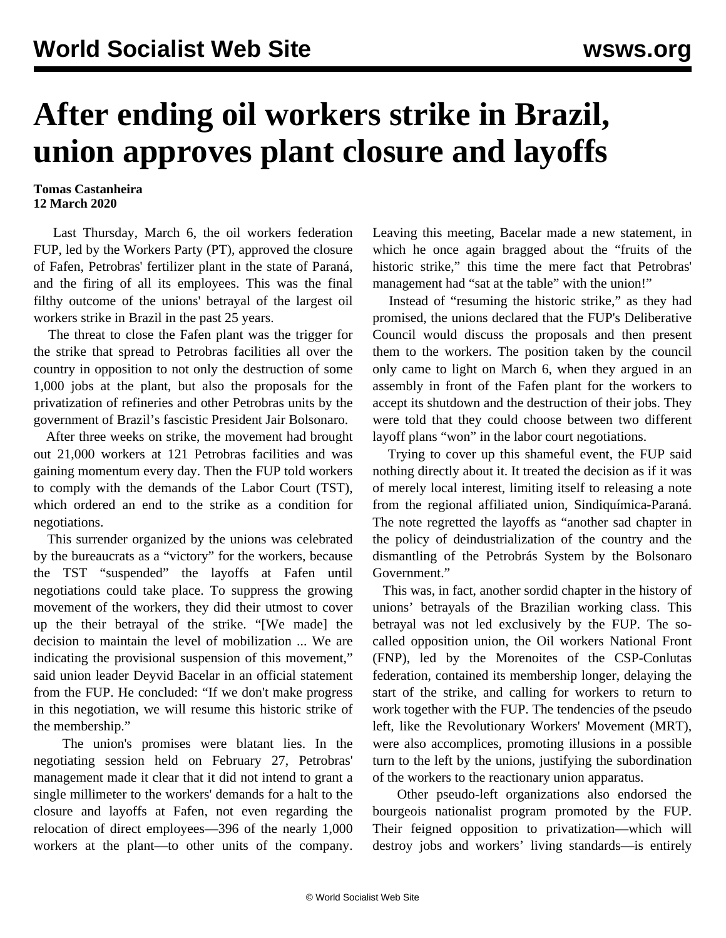## **After ending oil workers strike in Brazil, union approves plant closure and layoffs**

## **Tomas Castanheira 12 March 2020**

 Last Thursday, March 6, the oil workers federation FUP, led by the Workers Party (PT), approved the closure of Fafen, Petrobras' fertilizer plant in the state of Paraná, and the firing of all its employees. This was the final filthy outcome of the unions' betrayal of the largest oil workers strike in Brazil in the past 25 years.

 The threat to close the Fafen plant was the trigger for the strike that spread to Petrobras facilities all over the country in opposition to not only the destruction of some 1,000 jobs at the plant, but also the proposals for the privatization of refineries and other Petrobras units by the government of Brazil's fascistic President Jair Bolsonaro.

 After three weeks on strike, the movement had brought out 21,000 workers at 121 Petrobras facilities and was gaining momentum every day. Then the FUP told workers to comply with the demands of the Labor Court (TST), which ordered an end to the strike as a condition for negotiations.

 This surrender organized by the unions was celebrated by the bureaucrats as a "victory" for the workers, because the TST "suspended" the layoffs at Fafen until negotiations could take place. To suppress the growing movement of the workers, they did their utmost to cover up the their betrayal of the strike. "[We made] the decision to maintain the level of mobilization ... We are indicating the provisional suspension of this movement," said union leader Deyvid Bacelar in an official statement from the FUP. He concluded: "If we don't make progress in this negotiation, we will resume this historic strike of the membership."

 The union's promises were blatant lies. In the negotiating session held on February 27, Petrobras' management made it clear that it did not intend to grant a single millimeter to the workers' demands for a halt to the closure and layoffs at Fafen, not even regarding the relocation of direct employees—396 of the nearly 1,000 workers at the plant—to other units of the company.

Leaving this meeting, Bacelar made a new statement, in which he once again bragged about the "fruits of the historic strike," this time the mere fact that Petrobras' management had "sat at the table" with the union!"

 Instead of "resuming the historic strike," as they had promised, the unions declared that the FUP's Deliberative Council would discuss the proposals and then present them to the workers. The position taken by the council only came to light on March 6, when they argued in an assembly in front of the Fafen plant for the workers to accept its shutdown and the destruction of their jobs. They were told that they could choose between two different layoff plans "won" in the labor court negotiations.

 Trying to cover up this shameful event, the FUP said nothing directly about it. It treated the decision as if it was of merely local interest, limiting itself to releasing a note from the regional affiliated union, Sindiquímica-Paraná. The note regretted the layoffs as "another sad chapter in the policy of deindustrialization of the country and the dismantling of the Petrobrás System by the Bolsonaro Government<sup>"</sup>

 This was, in fact, another sordid chapter in the history of unions' betrayals of the Brazilian working class. This betrayal was not led exclusively by the FUP. The socalled opposition union, the Oil workers National Front (FNP), led by the Morenoites of the CSP-Conlutas federation, contained its membership longer, delaying the start of the strike, and calling for workers to return to work together with the FUP. The tendencies of the pseudo left, like the Revolutionary Workers' Movement (MRT), were also accomplices, promoting illusions in a possible turn to the left by the unions, justifying the subordination of the workers to the reactionary union apparatus.

 Other pseudo-left organizations also endorsed the bourgeois nationalist program promoted by the FUP. Their feigned opposition to privatization—which will destroy jobs and workers' living standards—is entirely